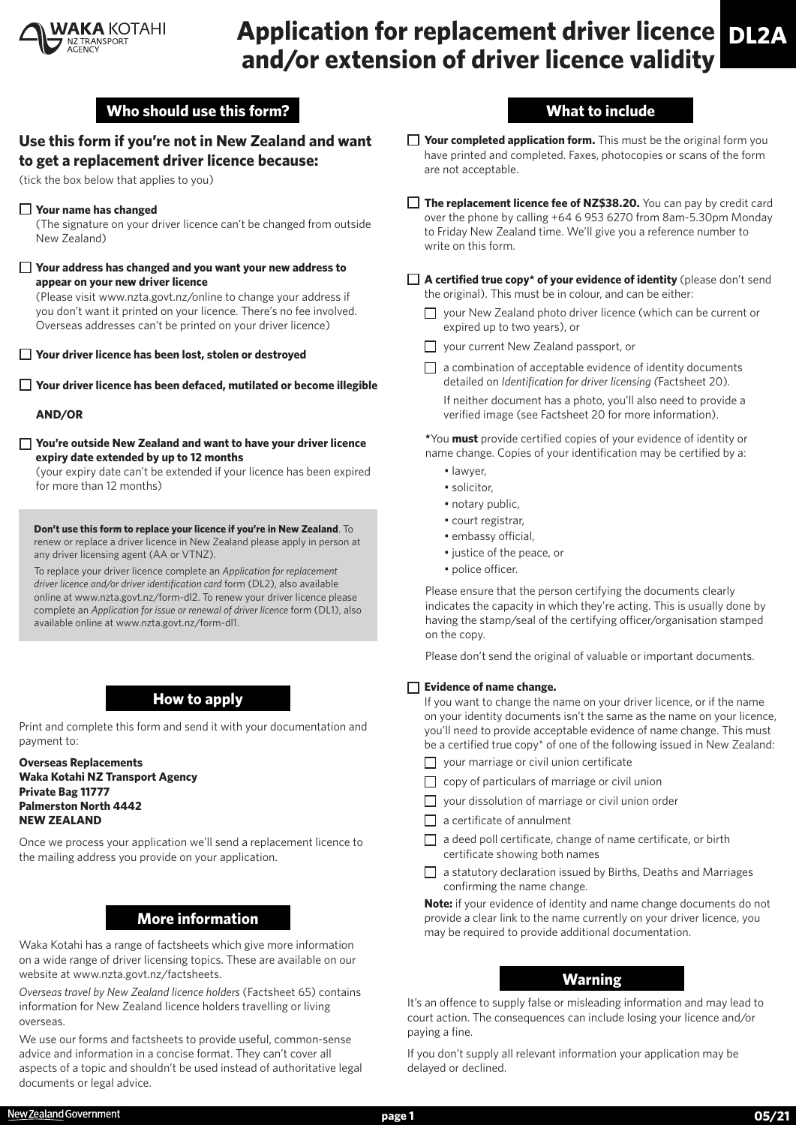

# **Application for replacement driver licence DL2A and/or extension of driver licence validity**

## **Who should use this form?**

## **Use this form if you're not in New Zealand and want to get a replacement driver licence because:**

(tick the box below that applies to you)

#### **Your name has changed**

(The signature on your driver licence can't be changed from outside New Zealand)

#### **Your address has changed and you want your new address to appear on your new driver licence**

(Please visit www.nzta.govt.nz/online to change your address if you don't want it printed on your licence. There's no fee involved. Overseas addresses can't be printed on your driver licence)

**Your driver licence has been lost, stolen or destroyed**

**Your driver licence has been defaced, mutilated or become illegible**

#### **AND/OR**

**You're outside New Zealand and want to have your driver licence expiry date extended by up to 12 months**

(your expiry date can't be extended if your licence has been expired for more than 12 months)

**Don't use this form to replace your licence if you're in New Zealand**. To renew or replace a driver licence in New Zealand please apply in person at any driver licensing agent (AA or VTNZ).

To replace your driver licence complete an *Application for replacement driver licence and/or driver identification card* form (DL2), also available online at www.nzta.govt.nz/form-dl2. To renew your driver licence please complete an *Application for issue or renewal of driver licence* form (DL1), also available online at www.nzta.govt.nz/form-dl1.

## **How to apply**

Print and complete this form and send it with your documentation and payment to:

**Overseas Replacements Waka Kotahi NZ Transport Agency Private Bag 11777 Palmerston North 4442 NEW ZEALAND**

Once we process your application we'll send a replacement licence to the mailing address you provide on your application.

## **More information**

Waka Kotahi has a range of factsheets which give more information on a wide range of driver licensing topics. These are available on our website at www.nzta.govt.nz/factsheets.

*Overseas travel by New Zealand licence holders* (Factsheet 65) contains information for New Zealand licence holders travelling or living overseas.

We use our forms and factsheets to provide useful, common-sense advice and information in a concise format. They can't cover all aspects of a topic and shouldn't be used instead of authoritative legal documents or legal advice.

# **What to include**

- **Your completed application form.** This must be the original form you have printed and completed. Faxes, photocopies or scans of the form are not acceptable.
- The replacement licence fee of NZ\$38.20. You can pay by credit card over the phone by calling +64 6 953 6270 from 8am-5.30pm Monday to Friday New Zealand time. We'll give you a reference number to write on this form.
- A certified true copy<sup>\*</sup> of your evidence of identity (please don't send the original). This must be in colour, and can be either:
	- □ your New Zealand photo driver licence (which can be current or expired up to two years), or
	- □ your current New Zealand passport, or
	- $\Box$  a combination of acceptable evidence of identity documents detailed on *Identification for driver licensing (*Factsheet 20)*.*

If neither document has a photo, you'll also need to provide a verified image (see Factsheet 20 for more information).

**\***You **must** provide certified copies of your evidence of identity or name change. Copies of your identification may be certified by a:

- lawyer,
- solicitor,
- notary public,
- court registrar,
- embassy official,
- justice of the peace, or
- police officer.

Please ensure that the person certifying the documents clearly indicates the capacity in which they're acting. This is usually done by having the stamp/seal of the certifying officer/organisation stamped on the copy.

Please don't send the original of valuable or important documents.

#### **Evidence of name change.**

If you want to change the name on your driver licence, or if the name on your identity documents isn't the same as the name on your licence, you'll need to provide acceptable evidence of name change. This must be a certified true copy\* of one of the following issued in New Zealand:

- **g** your marriage or civil union certificate
- $\Box$  copy of particulars of marriage or civil union
- $\Box$  your dissolution of marriage or civil union order
- $\Box$  a certificate of annulment
- $\Box$  a deed poll certificate, change of name certificate, or birth certificate showing both names
- $\Box$  a statutory declaration issued by Births, Deaths and Marriages confirming the name change.

**Note:** if your evidence of identity and name change documents do not provide a clear link to the name currently on your driver licence, you may be required to provide additional documentation.

## **Warning**

It's an offence to supply false or misleading information and may lead to court action. The consequences can include losing your licence and/or paying a fine.

If you don't supply all relevant information your application may be delayed or declined.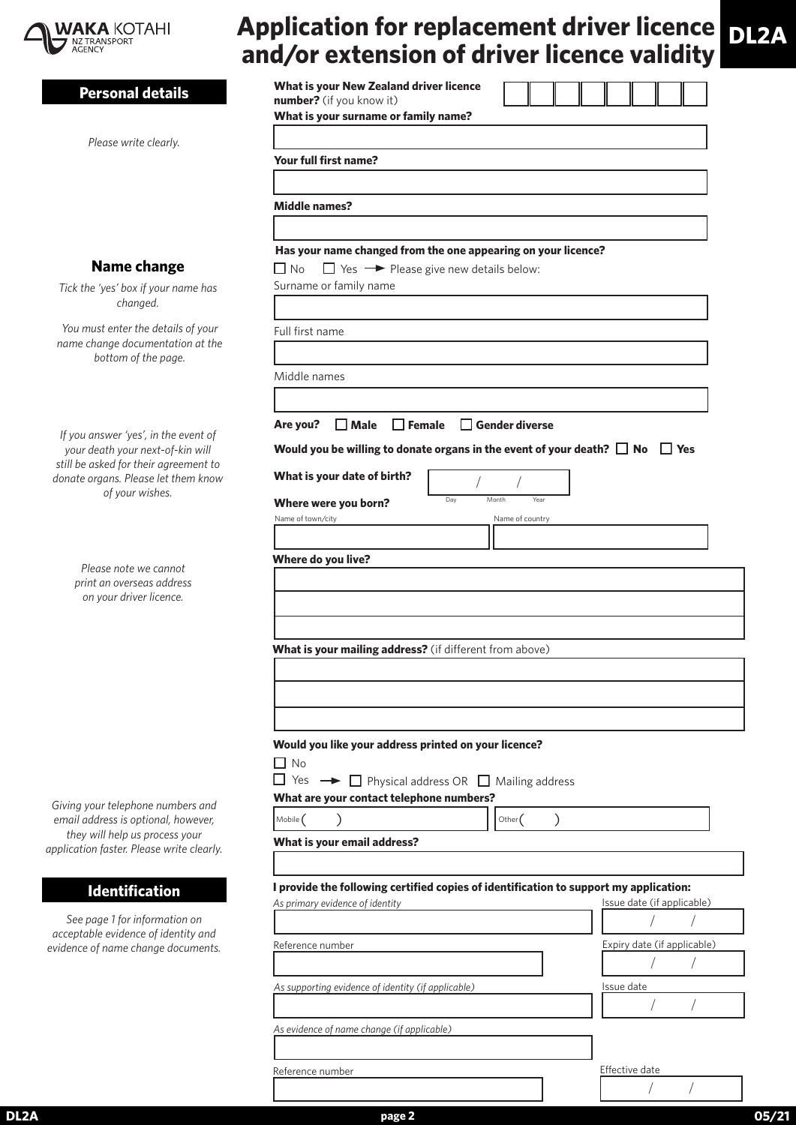

# **Application for replacement driver licence and/or extension of driver licence validity DL2A**

| <b>Personal details</b>                                                     | What is your New Zealand driver licence<br>number? (if you know it)<br>What is your surname or family name? |                             |  |  |  |  |
|-----------------------------------------------------------------------------|-------------------------------------------------------------------------------------------------------------|-----------------------------|--|--|--|--|
| Please write clearly.                                                       |                                                                                                             |                             |  |  |  |  |
|                                                                             | Your full first name?                                                                                       |                             |  |  |  |  |
|                                                                             |                                                                                                             |                             |  |  |  |  |
|                                                                             | <b>Middle names?</b>                                                                                        |                             |  |  |  |  |
|                                                                             |                                                                                                             |                             |  |  |  |  |
|                                                                             | Has your name changed from the one appearing on your licence?                                               |                             |  |  |  |  |
| <b>Name change</b>                                                          | $\Box$ Yes $\rightarrow$ Please give new details below:<br>$\Box$ No                                        |                             |  |  |  |  |
| Tick the 'yes' box if your name has                                         | Surname or family name                                                                                      |                             |  |  |  |  |
| changed.                                                                    |                                                                                                             |                             |  |  |  |  |
| You must enter the details of your                                          | Full first name                                                                                             |                             |  |  |  |  |
| name change documentation at the<br>bottom of the page.                     |                                                                                                             |                             |  |  |  |  |
|                                                                             | Middle names                                                                                                |                             |  |  |  |  |
|                                                                             |                                                                                                             |                             |  |  |  |  |
|                                                                             |                                                                                                             |                             |  |  |  |  |
| If you answer 'yes', in the event of                                        | $\Box$ Female<br>$\Box$ Gender diverse<br>Are you?<br>$\Box$ Male                                           |                             |  |  |  |  |
| your death your next-of-kin will<br>still be asked for their agreement to   | Would you be willing to donate organs in the event of your death? $\Box$ No $\Box$ Yes                      |                             |  |  |  |  |
| donate organs. Please let them know                                         | What is your date of birth?                                                                                 |                             |  |  |  |  |
| of your wishes.                                                             | Day<br>Month<br>Year<br>Where were you born?                                                                |                             |  |  |  |  |
|                                                                             | Name of town/city<br>Name of country                                                                        |                             |  |  |  |  |
|                                                                             |                                                                                                             |                             |  |  |  |  |
| Please note we cannot                                                       | Where do you live?                                                                                          |                             |  |  |  |  |
| print an overseas address                                                   |                                                                                                             |                             |  |  |  |  |
| on your driver licence.                                                     |                                                                                                             |                             |  |  |  |  |
|                                                                             |                                                                                                             |                             |  |  |  |  |
|                                                                             | What is your mailing address? (if different from above)                                                     |                             |  |  |  |  |
|                                                                             |                                                                                                             |                             |  |  |  |  |
|                                                                             |                                                                                                             |                             |  |  |  |  |
|                                                                             |                                                                                                             |                             |  |  |  |  |
|                                                                             |                                                                                                             |                             |  |  |  |  |
|                                                                             | Would you like your address printed on your licence?<br>$\Box$ No                                           |                             |  |  |  |  |
|                                                                             | $\Box$ Yes $\rightarrow \Box$ Physical address OR $\Box$ Mailing address                                    |                             |  |  |  |  |
| Giving your telephone numbers and                                           | What are your contact telephone numbers?                                                                    |                             |  |  |  |  |
| email address is optional, however,                                         | Mobile (<br>Other $($                                                                                       |                             |  |  |  |  |
| they will help us process your<br>application faster. Please write clearly. | What is your email address?                                                                                 |                             |  |  |  |  |
|                                                                             |                                                                                                             |                             |  |  |  |  |
| <b>Identification</b>                                                       | I provide the following certified copies of identification to support my application:                       |                             |  |  |  |  |
|                                                                             | As primary evidence of identity                                                                             | Issue date (if applicable)  |  |  |  |  |
| See page 1 for information on<br>acceptable evidence of identity and        |                                                                                                             |                             |  |  |  |  |
| evidence of name change documents.                                          | Reference number                                                                                            | Expiry date (if applicable) |  |  |  |  |
|                                                                             |                                                                                                             |                             |  |  |  |  |
|                                                                             | As supporting evidence of identity (if applicable)                                                          | Issue date                  |  |  |  |  |
|                                                                             |                                                                                                             |                             |  |  |  |  |
|                                                                             | As evidence of name change (if applicable)                                                                  |                             |  |  |  |  |
|                                                                             |                                                                                                             |                             |  |  |  |  |
|                                                                             | Reference number                                                                                            | Effective date              |  |  |  |  |
|                                                                             |                                                                                                             |                             |  |  |  |  |

**DL2A page 2 05/21**